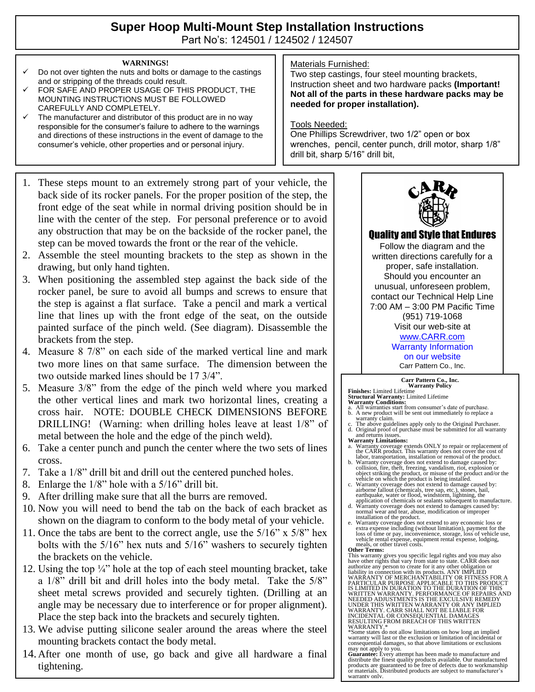# **Super Hoop Multi-Mount Step Installation Instructions**

Part No's: 124501 / 124502 / 124507

#### **WARNINGS!**

- Do not over tighten the nuts and bolts or damage to the castings and or stripping of the threads could result.
- FOR SAFE AND PROPER USAGE OF THIS PRODUCT, THE MOUNTING INSTRUCTIONS MUST BE FOLLOWED CAREFULLY AND COMPLETELY.
- $\checkmark$  The manufacturer and distributor of this product are in no way responsible for the consumer's failure to adhere to the warnings and directions of these instructions in the event of damage to the consumer's vehicle, other properties and or personal injury.
- 1. These steps mount to an extremely strong part of your vehicle, the back side of its rocker panels. For the proper position of the step, the front edge of the seat while in normal driving position should be in line with the center of the step. For personal preference or to avoid any obstruction that may be on the backside of the rocker panel, the step can be moved towards the front or the rear of the vehicle.
- 2. Assemble the steel mounting brackets to the step as shown in the drawing, but only hand tighten.
- 3. When positioning the assembled step against the back side of the rocker panel, be sure to avoid all bumps and screws to ensure that the step is against a flat surface. Take a pencil and mark a vertical line that lines up with the front edge of the seat, on the outside painted surface of the pinch weld. (See diagram). Disassemble the brackets from the step.
- 4. Measure 8 7/8" on each side of the marked vertical line and mark two more lines on that same surface. The dimension between the two outside marked lines should be 17 3/4".
- 5. Measure 3/8" from the edge of the pinch weld where you marked the other vertical lines and mark two horizontal lines, creating a cross hair. NOTE: DOUBLE CHECK DIMENSIONS BEFORE DRILLING! (Warning: when drilling holes leave at least 1/8" of metal between the hole and the edge of the pinch weld).
- 6. Take a center punch and punch the center where the two sets of lines cross.
- 7. Take a 1/8" drill bit and drill out the centered punched holes.
- 8. Enlarge the 1/8" hole with a 5/16" drill bit.
- 9. After drilling make sure that all the burrs are removed.
- 10. Now you will need to bend the tab on the back of each bracket as shown on the diagram to conform to the body metal of your vehicle.
- 11. Once the tabs are bent to the correct angle, use the 5/16" x 5/8" hex bolts with the 5/16" hex nuts and 5/16" washers to securely tighten the brackets on the vehicle.
- 12. Using the top  $\frac{1}{4}$  hole at the top of each steel mounting bracket, take a 1/8" drill bit and drill holes into the body metal. Take the 5/8" sheet metal screws provided and securely tighten. (Drilling at an angle may be necessary due to interference or for proper alignment). Place the step back into the brackets and securely tighten.
- 13. We advise putting silicone sealer around the areas where the steel mounting brackets contact the body metal.
- 14. After one month of use, go back and give all hardware a final tightening.

### Materials Furnished:

Two step castings, four steel mounting brackets, Instruction sheet and two hardware packs **(Important! Not all of the parts in these hardware packs may be needed for proper installation).**

#### Tools Needed:

One Phillips Screwdriver, two 1/2" open or box wrenches, pencil, center punch, drill motor, sharp 1/8" drill bit, sharp 5/16" drill bit,



## Quality and Style that Endures

Follow the diagram and the written directions carefully for a proper, safe installation. Should you encounter an unusual, unforeseen problem, contact our Technical Help Line 7:00 AM – 3:00 PM Pacific Time (951) 719-1068 Visit our web-site at [www.CARR.com](http://www.carr.com/)

## Warranty Information

on our website Carr Pattern Co., Inc.

#### **Carr Pattern Co., Inc. Warranty Policy**

**Finishes:** Limited Lifetime **Structural Warranty:** Limited Lifetime

- **Warranty Conditions:** a. All warranties start from consumer's date of purchase. b. A new product will be sent out immediately to replace a
- warranty claim. c. The above guidelines apply only to the Original Purchaser. d. Original proof of purchase must be submitted for all warranty
- and returns issues. **Warranty Limitations:**
- a. Warranty coverage extends ONLY to repair or replacement of the CARR product. This warranty does not cover the cost of labor, transportation, installation or removal of the product.
- b. Warranty coverage does not extend to damage caused by: collision, fire, theft, freezing, vandalism, riot, explosion or object striking the product, or misuse of the product and/or the
- vehicle on which the product is being installed.<br>
c. Warranty coverage does not extend to damage caused by:<br>
airborne fallout (chemicals, tree sap, etc.), stones, hail,<br>
earthquake, water or flood, windstorm, lightning, th
- d. Warranty coverage does not extend to damages caused by: normal wear and tear, abuse, modification or improper installation of the product.
- e. Warranty coverage does not extend to any economic loss or<br>extra expense including (without limitation), payment for the<br>loss of time or pay, inconvenience, storage, loss of vehicle use,<br>vehicle rental expense, equipment **Other Terms:**

This warranty gives you specific legal rights and you may also have other rights that vary from state to state. CARR does not authorize any person to create for it any other obligation or<br>liability in connection with its products. ANY IMPLIED<br>WARRANTY OF MERCHANTABILITY OR FITNESS FOR A<br>PARTICULAR PURPOSE APPLICABLE TO THIS PRODUCT<br>IS LIMITED IN NEEDED ADJUSTMENTS IS THE EXCULSIVE REMEDY<br>UNDER THIS WRITTEN WARRANTY OR ANY IMPLIED<br>WARRANTY. CARR SHALL NOT BE LIABLE FOR<br>INCIDENTAL OR CONSEQUENTIAL DAMAGES<br>INCIDENTAL OR CONSEQUENTIAL DAMAGES<br>RESULTING FROM BREACH OF

WARRANTY.\* \*Some states do not allow limitations on how long an implied warranty will last or the exclusion or limitation of incidental or consequential damages, so that above limitations or exclusions may not apply to you. **Guarantee:** Every attempt has been made to manufacture and

distribute the finest quality products available. Our manufactured products are guaranteed to be free of defects due to workmanship or materials. Distributed products are subject to manufacturer's warranty only.